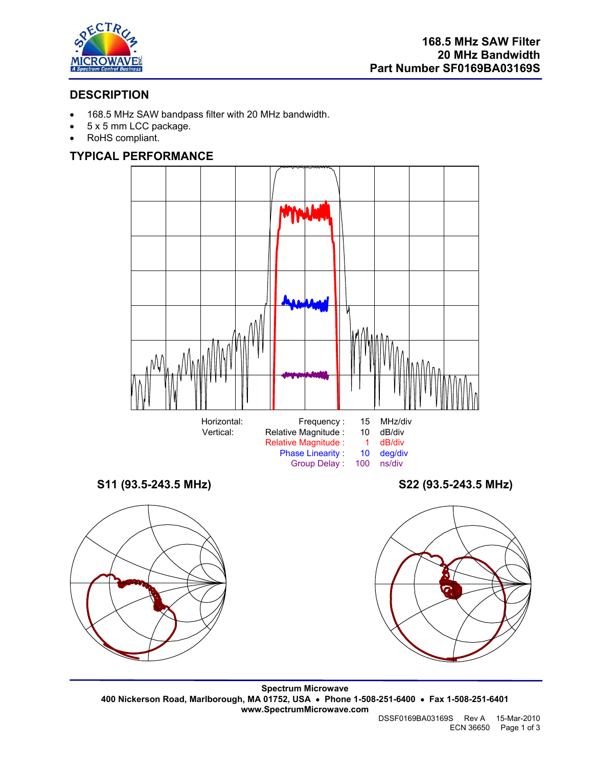

# **DESCRIPTION**

- 168.5 MHz SAW bandpass filter with 20 MHz bandwidth.
- 5 x 5 mm LCC package.
- RoHS compliant.

# **TYPICAL PERFORMANCE**







**Spectrum Microwave 400 Nickerson Road, Marlborough, MA 01752, USA** • **Phone 1-508-251-6400** • **Fax 1-508-251-6401 www.SpectrumMicrowave.com** 

 DSSF0169BA03169S Rev A 15-Mar-2010 ECN 36650 Page 1 of 3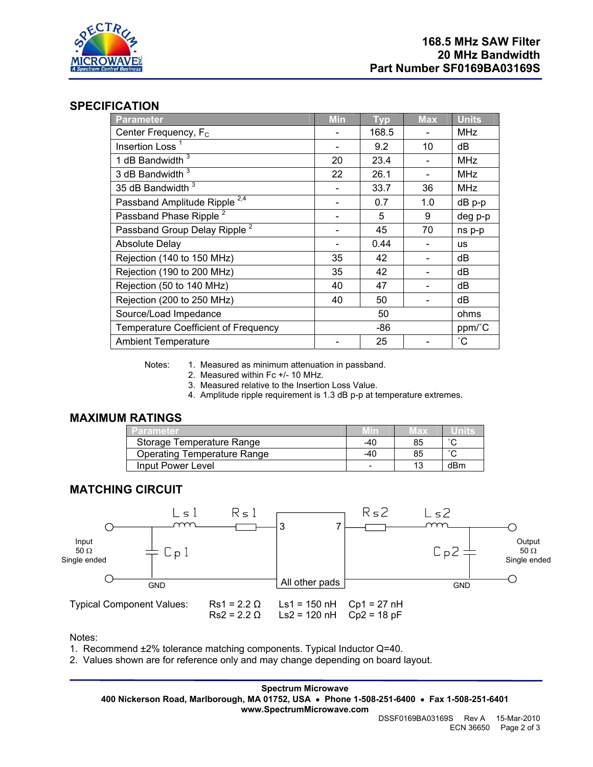

## **SPECIFICATION**

| <b>Parameter</b>                         | <b>Min</b> | <b>Typ</b> | <b>Max</b> | <b>Units</b>    |
|------------------------------------------|------------|------------|------------|-----------------|
| Center Frequency, F <sub>c</sub>         |            | 168.5      |            | <b>MHz</b>      |
| Insertion Loss <sup>1</sup>              |            | 9.2        | 10         | dB              |
| 1 dB Bandwidth $3$                       | 20         | 23.4       |            | <b>MHz</b>      |
| 3 dB Bandwidth 3                         | 22         | 26.1       |            | <b>MHz</b>      |
| 35 dB Bandwidth 3                        |            | 33.7       | 36         | <b>MHz</b>      |
| Passband Amplitude Ripple <sup>2,4</sup> |            | 0.7        | 1.0        | dB p-p          |
| Passband Phase Ripple <sup>2</sup>       |            | 5          | 9          | deg p-p         |
| Passband Group Delay Ripple <sup>2</sup> |            | 45         | 70         | ns p-p          |
| <b>Absolute Delay</b>                    |            | 0.44       |            | us              |
| Rejection (140 to 150 MHz)               | 35         | 42         |            | dB              |
| Rejection (190 to 200 MHz)               | 35         | 42         |            | dB              |
| Rejection (50 to 140 MHz)                | 40         | 47         |            | dB              |
| Rejection (200 to 250 MHz)               | 40         | 50         |            | dB              |
| Source/Load Impedance                    |            | 50         |            | ohms            |
| Temperature Coefficient of Frequency     | -86        |            |            | ppm/°C          |
| <b>Ambient Temperature</b>               |            | 25         |            | $\rm ^{\circ}C$ |

Notes: 1. Measured as minimum attenuation in passband.

2. Measured within Fc +/- 10 MHz.

3. Measured relative to the Insertion Loss Value.

4. Amplitude ripple requirement is 1.3 dB p-p at temperature extremes.

#### **MAXIMUM RATINGS**

| Parameter                          | MIN | мах |        |
|------------------------------------|-----|-----|--------|
| Storage Temperature Range          | -40 | 85  | $\sim$ |
| <b>Operating Temperature Range</b> | -40 | 85  | $\sim$ |
| Input Power Level                  |     |     | dBm    |

#### **MATCHING CIRCUIT**



Notes:

1. Recommend ±2% tolerance matching components. Typical Inductor Q=40.

2. Values shown are for reference only and may change depending on board layout.

**Spectrum Microwave 400 Nickerson Road, Marlborough, MA 01752, USA** • **Phone 1-508-251-6400** • **Fax 1-508-251-6401 www.SpectrumMicrowave.com** 

 DSSF0169BA03169S Rev A 15-Mar-2010 ECN 36650 Page 2 of 3